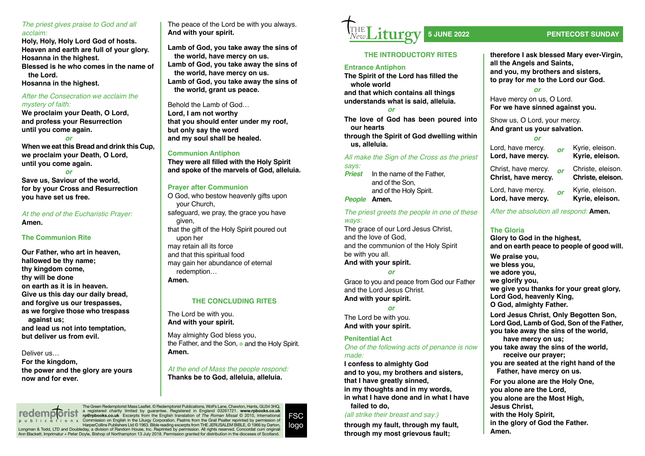# *The priest gives praise to God and all acclaim:*

**Holy, Holy, Holy Lord God of hosts. Heaven and earth are full of your glory. Hosanna in the highest.**

**Blessed is he who comes in the name of the Lord.**

**Hosanna in the highest.**

## *After the Consecration we acclaim the mystery of faith:*

**We proclaim your Death, O Lord, and profess your Resurrection until you come again.**

*or* **When we eat this Bread and drink this Cup, we proclaim your Death, O Lord, until you come again.**

*or*

**Save us, Saviour of the world, for by your Cross and Resurrection you have set us free.**

*At the end of the Eucharistic Prayer:*  **Amen.**

# **The Communion Rite**

**Our Father, who art in heaven, hallowed be thy name; thy kingdom come, thy will be done on earth as it is in heaven. Give us this day our daily bread, and forgive us our trespasses, as we forgive those who trespass against us; and lead us not into temptation,**

**but deliver us from evil.**

Deliver us **For the kingdom, the power and the glory are yours now and for ever.**

The peace of the Lord be with you always. **And with your spirit.**

**Lamb of God, you take away the sins of the world, have mercy on us. Lamb of God, you take away the sins of the world, have mercy on us. Lamb of God, you take away the sins of the world, grant us peace.**

Behold the Lamb of God… **Lord, I am not worthy that you should enter under my roof, but only say the word and my soul shall be healed.**

#### **Communion Antiphon**

**They were all filled with the Holy Spirit and spoke of the marvels of God, alleluia.**

# **Prayer after Communion**

O God, who bestow heavenly gifts upon your Church, safeguard, we pray, the grace you have given, that the gift of the Holy Spirit poured out upon her may retain all its force and that this spiritual food may gain her abundance of eternal redemption… **Amen.**

# **THE CONCLUDING RITES**

The Lord be with you. **And with your spirit.**

May almighty God bless you, the Father, and the Son, ⊕ and the Holy Spirit. **Amen.**

#### *At the end of Mass the people respond:* **Thanks be to God, alleluia, alleluia.**

The Green Redemptorist Mass Leaflet. © Redemptorist Publications, Wolf's Lane, Chawton, Hants, GU34 3HQ, The gristered charity limited by guarantee. Registered in England 03261721. www.rpbooks.co.uk<br>The prephotology and En Longman & Todd, LTD and Doubleday, a division of Random House, Inc. Reprinted by permission. All rights reserved. Concordat cum originali Ann Blackett. Imprimatur + Peter Doyle, Bishop of Northampton 13 July 2018. Permission granted for distribution in the dioceses of Scotland. **redemp orist** publications





# **THE INTRODUCTORY RITES**

#### **Entrance Antiphon**

**The Spirit of the Lord has filled the whole world and that which contains all things understands what is said, alleluia.**

*or*

**The love of God has been poured into our hearts**

**through the Spirit of God dwelling within us, alleluia.**

*All make the Sign of the Cross as the priest says:*

*Priest* In the name of the Father and of the Son, and of the Holy Spirit.

*People* **Amen.**

*The priest greets the people in one of these ways:*

The grace of our Lord Jesus Christ, and the love of God, and the communion of the Holy Spirit be with you all. **And with your spirit.**

#### *or*

Grace to you and peace from God our Father and the Lord Jesus Christ. **And with your spirit.**

*or*

The Lord be with you. **And with your spirit.**

**Penitential Act**

*One of the following acts of penance is now made:*

**I confess to almighty God and to you, my brothers and sisters, that I have greatly sinned, in my thoughts and in my words, in what I have done and in what I have failed to do,**

# *(all strike their breast and say:)*

**through my fault, through my fault, through my most grievous fault;**

**therefore I ask blessed Mary ever-Virgin, all the Angels and Saints, and you, my brothers and sisters,**

**to pray for me to the Lord our God.**

Have mercy on us, O Lord. **For we have sinned against you.**

*or*

Show us, O Lord, your mercy. **And grant us your salvation.**

*or*

Lord, have mercy. *or* Kyrie, eleison. Lord, have mercy.

Christ, have mercy. **or** Christe, eleison.<br>**Christ, have mercy. Christe, eleison. Christ, have mercy.** 

Lord, have mercy. *or* Kyrie, eleison. **Lord, have mercy.** 

*After the absolution all respond:* **Amen.**

# **The Gloria**

**Glory to God in the highest, and on earth peace to people of good will. We praise you, we bless you, we adore you, we glorify you, we give you thanks for your great glory, Lord God, heavenly King, O God, almighty Father. Lord Jesus Christ, Only Begotten Son, Lord God, Lamb of God, Son of the Father, you take away the sins of the world, have mercy on us; you take away the sins of the world, receive our prayer; you are seated at the right hand of the Father, have mercy on us. For you alone are the Holy One,**

**you alone are the Lord, you alone are the Most High, Jesus Christ, with the Holy Spirit, in the glory of God the Father. Amen.**

# **5 JUNE 2022 PENTECOST SUNDAY**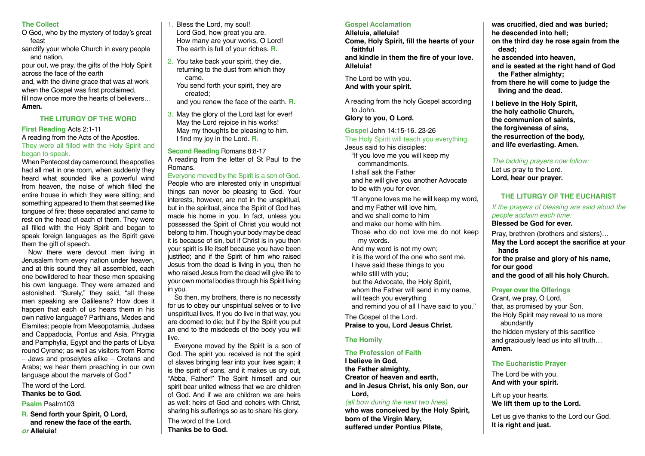## **The Collect**

- O God, who by the mystery of today's great feast
- sanctify your whole Church in every people and nation,

pour out, we pray, the gifts of the Holy Spirit across the face of the earth

and, with the divine grace that was at work when the Gospel was first proclaimed, fill now once more the hearts of believers…

# **Amen.**

# **THE LITURGY OF THE WORD**

#### **First Reading** Acts 2:1-11 A reading from the Acts of the Apostles. They were all filled with the Holy Spirit and

# began to speak.

When Pentecost day came round, the apostles had all met in one room, when suddenly they heard what sounded like a powerful wind from heaven, the noise of which filled the entire house in which they were sitting; and something appeared to them that seemed like tongues of fire; these separated and came to rest on the head of each of them. They were all filled with the Holy Spirit and began to speak foreign languages as the Spirit gave them the gift of speech.

Now there were devout men living in Jerusalem from every nation under heaven, and at this sound they all assembled, each one bewildered to hear these men speaking his own language. They were amazed and astonished. "Surely," they said, "all these men speaking are Galileans? How does it happen that each of us hears them in his own native language? Parthians, Medes and Elamites; people from Mesopotamia, Judaea and Cappadocia, Pontus and Asia, Phrygia and Pamphylia, Egypt and the parts of Libya round Cyrene; as well as visitors from Rome – Jews and proselytes alike – Cretans and Arabs; we hear them preaching in our own language about the marvels of God."

The word of the Lord. **Thanks be to God.**

**Psalm** Psalm103

**R. Send forth your Spirit, O Lord, and renew the face of the earth.** *or* **Alleluia!**

- 1. Bless the Lord, my soul! Lord God, how great you are. How many are your works, O Lord! The earth is full of your riches. **R.**
- 2. You take back your spirit, they die, returning to the dust from which they came.

You send forth your spirit, they are created;

and you renew the face of the earth. **R.**

3. May the glory of the Lord last for ever! May the Lord rejoice in his works! May my thoughts be pleasing to him. I find my joy in the Lord. **R.**

# **Second Reading** Romans 8:8-17

A reading from the letter of St Paul to the Romans.

# Everyone moved by the Spirit is a son of God.

People who are interested only in unspiritual things can never be pleasing to God. Your interests, however, are not in the unspiritual, but in the spiritual, since the Spirit of God has made his home in you. In fact, unless you possessed the Spirit of Christ you would not belong to him. Though your body may be dead it is because of sin, but if Christ is in you then your spirit is life itself because you have been justified; and if the Spirit of him who raised Jesus from the dead is living in you, then he who raised Jesus from the dead will give life to your own mortal bodies through his Spirit living in you.

So then, my brothers, there is no necessity for us to obey our unspiritual selves or to live unspiritual lives. If you do live in that way, you are doomed to die; but if by the Spirit you put an end to the misdeeds of the body you will live.

Everyone moved by the Spirit is a son of God. The spirit you received is not the spirit of slaves bringing fear into your lives again; it is the spirit of sons, and it makes us cry out, "Abba, Father!" The Spirit himself and our spirit bear united witness that we are children of God. And if we are children we are heirs as well: heirs of God and coheirs with Christ, sharing his sufferings so as to share his glory. The word of the Lord.

**Thanks be to God.**

# **Gospel Acclamation**

#### **Alleluia, alleluia!**

**Come, Holy Spirit, fill the hearts of your faithful**

**and kindle in them the fire of your love. Alleluia!**

The Lord be with you. **And with your spirit.**

A reading from the holy Gospel according to John.

**Glory to you, O Lord.** 

#### **Gospel** John 14:15-16. 23-26 The Holy Spirit will teach you everything.

Jesus said to his disciples:

- "If you love me you will keep my commandments.
- I shall ask the Father

and he will give you another Advocate to be with you for ever.

"If anyone loves me he will keep my word, and my Father will love him, and we shall come to him

and make our home with him.

- Those who do not love me do not keep my words.
- And my word is not my own;
- it is the word of the one who sent me.
- I have said these things to you
- while still with you;

but the Advocate, the Holy Spirit,

whom the Father will send in my name. will teach you everything

and remind you of all I have said to you."

The Gospel of the Lord. **Praise to you, Lord Jesus Christ.**

# **The Homily**

# **The Profession of Faith**

**I believe in God, the Father almighty, Creator of heaven and earth, and in Jesus Christ, his only Son, our Lord,**

# *(all bow during the next two lines)*

**who was conceived by the Holy Spirit, born of the Virgin Mary, suffered under Pontius Pilate,**

**was crucified, died and was buried; he descended into hell;**

- **on the third day he rose again from the dead;**
- **he ascended into heaven,**
- **and is seated at the right hand of God the Father almighty; from there he will come to judge the**

**living and the dead.**

**I believe in the Holy Spirit, the holy catholic Church, the communion of saints, the forgiveness of sins, the resurrection of the body, and life everlasting. Amen.**

*The bidding prayers now follow:* Let us pray to the Lord. **Lord, hear our prayer.**

# **THE LITURGY OF THE EUCHARIST**

*If the prayers of blessing are said aloud the people acclaim each time:*  **Blessed be God for ever.**

Pray, brethren (brothers and sisters)… **May the Lord accept the sacrifice at your hands for the praise and glory of his name, for our good and the good of all his holy Church.**

# **Prayer over the Offerings**

Grant, we pray, O Lord, that, as promised by your Son, the Holy Spirit may reveal to us more abundantly the hidden mystery of this sacrifice and graciously lead us into all truth… **Amen.**

# **The Eucharistic Prayer**

The Lord be with you. **And with your spirit.**

Lift up your hearts. **We lift them up to the Lord.**

Let us give thanks to the Lord our God. **It is right and just.**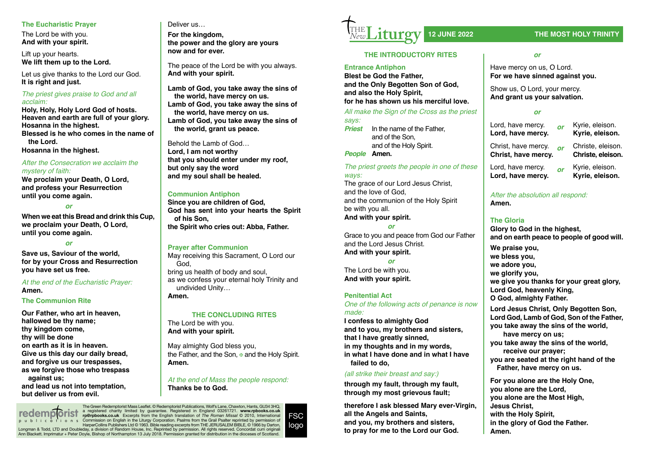#### **The Eucharistic Prayer**

The Lord be with you. **And with your spirit.**

Lift up your hearts. **We lift them up to the Lord.**

Let us give thanks to the Lord our God. **It is right and just.**

#### *The priest gives praise to God and all acclaim:*

**Holy, Holy, Holy Lord God of hosts. Heaven and earth are full of your glory. Hosanna in the highest. Blessed is he who comes in the name of the Lord.**

**Hosanna in the highest.**

# *After the Consecration we acclaim the mystery of faith:*

**We proclaim your Death, O Lord, and profess your Resurrection until you come again.**

#### *or*

**When we eat this Bread and drink this Cup, we proclaim your Death, O Lord, until you come again.**

#### *or*

**Save us, Saviour of the world, for by your Cross and Resurrection you have set us free.**

#### *At the end of the Eucharistic Prayer:*  **Amen.**

#### **The Communion Rite**

**Our Father, who art in heaven, hallowed be thy name; thy kingdom come, thy will be done on earth as it is in heaven. Give us this day our daily bread, and forgive us our trespasses, as we forgive those who trespass against us; and lead us not into temptation, but deliver us from evil.**

# Deliver us...

**For the kingdom, the power and the glory are yours now and for ever.**

The peace of the Lord be with you always. **And with your spirit.**

**Lamb of God, you take away the sins of the world, have mercy on us. Lamb of God, you take away the sins of the world, have mercy on us. Lamb of God, you take away the sins of the world, grant us peace.**

Behold the Lamb of God… **Lord, I am not worthy that you should enter under my roof, but only say the word and my soul shall be healed.**

# **Communion Antiphon**

**Since you are children of God, God has sent into your hearts the Spirit of his Son, the Spirit who cries out: Abba, Father.** 

#### **Prayer after Communion**

May receiving this Sacrament, O Lord our God,

bring us health of body and soul, as we confess your eternal holy Trinity and undivided Unity…

**Amen.**

#### **THE CONCLUDING RITES**

The Lord be with you. **And with your spirit.**

May almighty God bless you, the Father, and the Son, ⊕ and the Holy Spirit. **Amen.**

#### *At the end of Mass the people respond:* **Thanks be to God.**

The Green Redemptorist Mass Leaflet. © Redemptorist Publications, Wolf's Lane, Chawton, Hants, GU34 3HQ, The gristered charity limited by guarantee. Registered in England 03261721. www.rpbooks.co.uk<br>The prephotology and En Longman & Todd, LTD and Doubleday, a division of Random House, Inc. Reprinted by permission. All rights reserved. Concordat cum originali<br>Ann Blackett. Imprimatur + Peter Doyle, Bishop of Northampton 13 July 2018. Permissi **redemp orist** publications



# **THE INTRODUCTORY RITES**

#### **Entrance Antiphon**

**Blest be God the Father, and the Only Begotten Son of God, and also the Holy Spirit, for he has shown us his merciful love.**

*All make the Sign of the Cross as the priest says:*

*Priest* In the name of the Father, and of the Son, and of the Holy Spirit.

*People* **Amen.**

# *The priest greets the people in one of these ways:*

The grace of our Lord Jesus Christ. and the love of God, and the communion of the Holy Spirit be with you all. **And with your spirit.**

# *or*

*or*

Grace to you and peace from God our Father and the Lord Jesus Christ. **And with your spirit.**

The Lord be with you. **And with your spirit.**

# **Penitential Act**

*One of the following acts of penance is now made:*

**I confess to almighty God and to you, my brothers and sisters, that I have greatly sinned, in my thoughts and in my words, in what I have done and in what I have failed to do,**

# *(all strike their breast and say:)*

**through my fault, through my fault, through my most grievous fault;**

**therefore I ask blessed Mary ever-Virgin, all the Angels and Saints, and you, my brothers and sisters, to pray for me to the Lord our God.**

#### *or*

Have mercy on us, O Lord. **For we have sinned against you.**

Show us, O Lord, your mercy. **And grant us your salvation.**

#### *or*

| Lord, have mercy.<br>Lord, have mercy.     | or | Kyrie, eleison.<br>Kyrie, eleison.     |
|--------------------------------------------|----|----------------------------------------|
| Christ, have mercy.<br>Christ, have mercy. | or | Christe, eleison.<br>Christe, eleison. |
| Lord have mercy                            |    | Kvrie eleison                          |

Lord, have mercy. *or* Kyrie, eleison. **Lord, have mercy.** 

# *After the absolution all respond:*  **Amen.**

#### **The Gloria**

**Glory to God in the highest, and on earth peace to people of good will. We praise you,**

**we bless you,**

- **we adore you,**
- **we glorify you,**

**we give you thanks for your great glory, Lord God, heavenly King, O God, almighty Father.**

**Lord Jesus Christ, Only Begotten Son, Lord God, Lamb of God, Son of the Father,**

**you take away the sins of the world, have mercy on us;**

**you take away the sins of the world, receive our prayer;**

**you are seated at the right hand of the Father, have mercy on us.**

**For you alone are the Holy One, you alone are the Lord, you alone are the Most High, Jesus Christ, with the Holy Spirit, in the glory of God the Father. Amen.**

FSC logo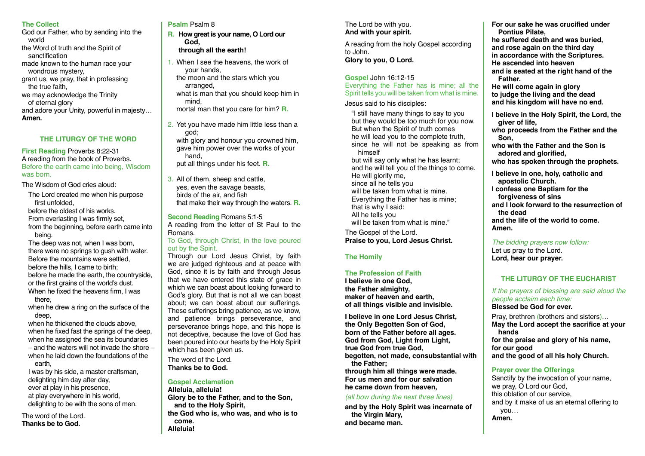#### **The Collect**

God our Father, who by sending into the world the Word of truth and the Spirit of sanctification made known to the human race your wondrous mystery, grant us, we pray, that in professing the true faith, we may acknowledge the Trinity of eternal glory and adore your Unity, powerful in majesty…

**Amen.**

#### **THE LITURGY OF THE WORD**

#### **First Reading** Proverbs 8:22-31 A reading from the book of Proverbs. Before the earth came into being, Wisdom was born.

The Wisdom of God cries aloud:

The Lord created me when his purpose first unfolded,

before the oldest of his works.

From everlasting I was firmly set, from the beginning, before earth came into being.

The deep was not, when I was born, there were no springs to gush with water. Before the mountains were settled, before the hills, I came to birth; before he made the earth, the countryside, or the first grains of the world's dust. When he fixed the heavens firm, I was there,

when he drew a ring on the surface of the deep,

when he thickened the clouds above, when he fixed fast the springs of the deep, when he assigned the sea its boundaries – and the waters will not invade the shore – when he laid down the foundations of the earth,

I was by his side, a master craftsman, delighting him day after day, ever at play in his presence, at play everywhere in his world, delighting to be with the sons of men.

The word of the Lord. **Thanks be to God.**

# **Psalm** Psalm 8

**R. How great is your name, O Lord our God,**

**through all the earth!**

- 1. When I see the heavens, the work of your hands,
- the moon and the stars which you arranged,
- what is man that you should keep him in mind,

mortal man that you care for him? **R.**

2. Yet you have made him little less than a god;

with glory and honour you crowned him, gave him power over the works of your hand,

put all things under his feet. **R.**

3. All of them, sheep and cattle, yes, even the savage beasts, birds of the air, and fish that make their way through the waters. **R.**

#### **Second Reading** Romans 5:1-5

A reading from the letter of St Paul to the Romans.

#### To God, through Christ, in the love poured out by the Spirit.

Through our Lord Jesus Christ, by faith we are judged righteous and at peace with God, since it is by faith and through Jesus that we have entered this state of grace in which we can boast about looking forward to God's glory. But that is not all we can boast about; we can boast about our sufferings. These sufferings bring patience, as we know, and patience brings perseverance, and perseverance brings hope, and this hope is not deceptive, because the love of God has been poured into our hearts by the Holy Spirit which has been given us.

The word of the Lord. **Thanks be to God.**

# **Gospel Acclamation**

**Alleluia, alleluia! Glory be to the Father, and to the Son, and to the Holy Spirit, the God who is, who was, and who is to come. Alleluia!** 

#### The Lord be with you. **And with your spirit.**

A reading from the holy Gospel according to John. **Glory to you, O Lord.** 

**Gospel** John 16:12-15 Everything the Father has is mine; all the Spirit tells you will be taken from what is mine.

#### Jesus said to his disciples:

"I still have many things to say to you but they would be too much for you now. But when the Spirit of truth comes he will lead you to the complete truth, since he will not be speaking as from himself but will say only what he has learnt; and he will tell you of the things to come. He will glorify me, since all he tells you will be taken from what is mine. Everything the Father has is mine; that is why I said: All he tells you will be taken from what is mine."

The Gospel of the Lord. **Praise to you, Lord Jesus Christ.**

# **The Homily**

# **The Profession of Faith**

**I believe in one God, the Father almighty, maker of heaven and earth, of all things visible and invisible.**

**I believe in one Lord Jesus Christ, the Only Begotten Son of God, born of the Father before all ages. God from God, Light from Light, true God from true God, begotten, not made, consubstantial with the Father; through him all things were made. For us men and for our salvation he came down from heaven,**

# *(all bow during the next three lines)*

**and by the Holy Spirit was incarnate of the Virgin Mary, and became man.**

**For our sake he was crucified under Pontius Pilate, he suffered death and was buried, and rose again on the third day in accordance with the Scriptures. He ascended into heaven and is seated at the right hand of the Father. He will come again in glory to judge the living and the dead and his kingdom will have no end. I believe in the Holy Spirit, the Lord, the giver of life,**

**who proceeds from the Father and the Son,**

**who with the Father and the Son is adored and glorified,**

**who has spoken through the prophets.**

**I believe in one, holy, catholic and apostolic Church.**

**I confess one Baptism for the forgiveness of sins**

**and I look forward to the resurrection of the dead and the life of the world to come.** 

**Amen.**

*The bidding prayers now follow:* Let us pray to the Lord. **Lord, hear our prayer.**

# **THE LITURGY OF THE EUCHARIST**

*If the prayers of blessing are said aloud the people acclaim each time:*  **Blessed be God for ever.**

Pray, brethren (brothers and sisters)… **May the Lord accept the sacrifice at your hands for the praise and glory of his name, for our good**

**and the good of all his holy Church.**

# **Prayer over the Offerings**

Sanctify by the invocation of your name, we pray, O Lord our God, this oblation of our service, and by it make of us an eternal offering to you… **Amen.**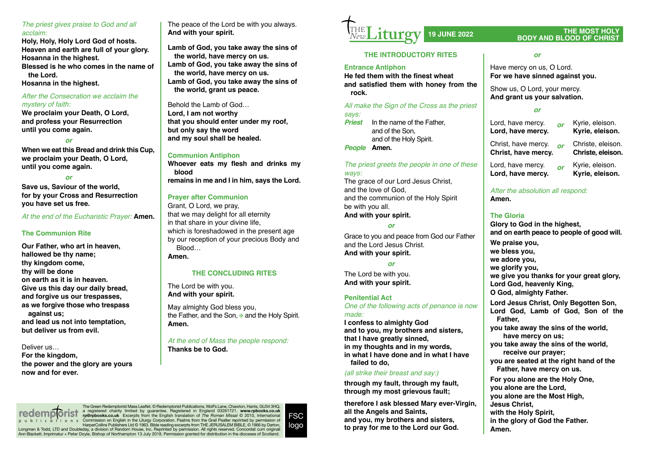# *The priest gives praise to God and all acclaim:*

**Holy, Holy, Holy Lord God of hosts. Heaven and earth are full of your glory. Hosanna in the highest.**

**Blessed is he who comes in the name of the Lord.**

**Hosanna in the highest.**

# *After the Consecration we acclaim the mystery of faith:*

**We proclaim your Death, O Lord, and profess your Resurrection until you come again.**

#### *or*

**When we eat this Bread and drink this Cup, we proclaim your Death, O Lord, until you come again.**

#### *or*

**Save us, Saviour of the world, for by your Cross and Resurrection you have set us free.**

# *At the end of the Eucharistic Prayer:* **Amen.**

# **The Communion Rite**

**Our Father, who art in heaven, hallowed be thy name; thy kingdom come, thy will be done on earth as it is in heaven. Give us this day our daily bread, and forgive us our trespasses, as we forgive those who trespass against us;**

**and lead us not into temptation, but deliver us from evil.**

Deliver us… **For the kingdom, the power and the glory are yours now and for ever.**

The peace of the Lord be with you always. **And with your spirit.**

**Lamb of God, you take away the sins of the world, have mercy on us. Lamb of God, you take away the sins of the world, have mercy on us. Lamb of God, you take away the sins of the world, grant us peace.**

Behold the Lamb of God… **Lord, I am not worthy that you should enter under my roof, but only say the word and my soul shall be healed.**

# **Communion Antiphon**

**Whoever eats my flesh and drinks my blood remains in me and I in him, says the Lord.** 

# **Prayer after Communion**

Grant, O Lord, we pray, that we may delight for all eternity in that share in your divine life, which is foreshadowed in the present age by our reception of your precious Body and Blood… **Amen.**

# **THE CONCLUDING RITES**

The Lord be with you. **And with your spirit.**

May almighty God bless you, the Father, and the Son, ⊕ and the Holy Spirit. **Amen.**

*At the end of Mass the people respond:* **Thanks be to God.**



# **THE INTRODUCTORY RITES**

#### **Entrance Antiphon**

**He fed them with the finest wheat and satisfied them with honey from the rock.** 

*All make the Sign of the Cross as the priest says: Priest* In the name of the Father,

and of the Son, and of the Holy Spirit.

*People* **Amen.**

# *The priest greets the people in one of these ways:*

The grace of our Lord Jesus Christ and the love of God, and the communion of the Holy Spirit be with you all. **And with your spirit.**

# *or*

Grace to you and peace from God our Father and the Lord Jesus Christ. **And with your spirit.**

*or*

The Lord be with you. **And with your spirit.**

# **Penitential Act**

*One of the following acts of penance is now made:*

**I confess to almighty God and to you, my brothers and sisters, that I have greatly sinned, in my thoughts and in my words, in what I have done and in what I have failed to do,**

# *(all strike their breast and say:)*

**through my fault, through my fault, through my most grievous fault;**

**therefore I ask blessed Mary ever-Virgin, all the Angels and Saints, and you, my brothers and sisters, to pray for me to the Lord our God.**

Have mercy on us, O Lord. **For we have sinned against you.**

Show us, O Lord, your mercy. **And grant us your salvation.**

*or*

# *or*

| Lord, have mercy.<br>Lord, have mercy.     | or | Kyrie, eleison.<br>Kyrie, eleison.     |
|--------------------------------------------|----|----------------------------------------|
| Christ, have mercy.<br>Christ, have mercy. | or | Christe, eleison.<br>Christe, eleison. |
| Lord have mercy                            |    | Kvrie eleison                          |

Lord, have mercy. *or* Kyrie, eleison. **Lord, have mercy.** 

*After the absolution all respond:*  **Amen.**

# **The Gloria**

**Glory to God in the highest, and on earth peace to people of good will. We praise you,**

**we bless you,**

**we adore you,**

**we glorify you,**

**we give you thanks for your great glory, Lord God, heavenly King,**

**O God, almighty Father.**

**Lord Jesus Christ, Only Begotten Son, Lord God, Lamb of God, Son of the Father,**

**you take away the sins of the world, have mercy on us;**

**you take away the sins of the world, receive our prayer;**

**you are seated at the right hand of the Father, have mercy on us.**

**For you alone are the Holy One, you alone are the Lord, you alone are the Most High, Jesus Christ, with the Holy Spirit, in the glory of God the Father. Amen.**

**redemp orist** publications

FSC logo

**19 JUNE 2022 THE MOST HOLY BODY AND BLOOD OF CHRIST**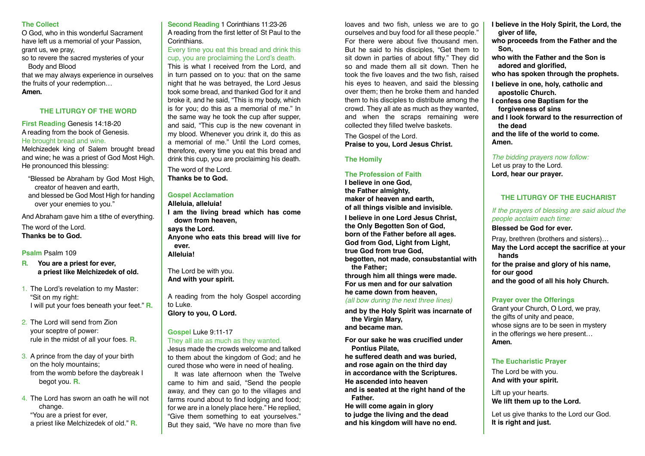#### **The Collect**

O God, who in this wonderful Sacrament have left us a memorial of your Passion, grant us, we pray, so to revere the sacred mysteries of your Body and Blood that we may always experience in ourselves the fruits of your redemption… **Amen.**

# **THE LITURGY OF THE WORD**

#### **First Reading** Genesis 14:18-20 A reading from the book of Genesis. He brought bread and wine. Melchizedek king of Salem brought bread and wine; he was a priest of God Most High. He pronounced this blessing:

"Blessed be Abraham by God Most High, creator of heaven and earth, and blessed be God Most High for handing over your enemies to you."

And Abraham gave him a tithe of everything. The word of the Lord.

**Thanks be to God.**

# **Psalm** Psalm 109

- **R. You are a priest for ever, a priest like Melchizedek of old.**
- 1. The Lord's revelation to my Master: "Sit on my right: I will put your foes beneath your feet." **R.**
- 2. The Lord will send from Zion your sceptre of power: rule in the midst of all your foes. **R.**
- 3. A prince from the day of your birth on the holy mountains; from the womb before the daybreak I begot you. **R.**

4. The Lord has sworn an oath he will not change. "You are a priest for ever, a priest like Melchizedek of old." **R.**

**Second Reading** 1 Corinthians 11:23-26 A reading from the first letter of St Paul to the Corinthians.

#### Every time you eat this bread and drink this cup, you are proclaiming the Lord's death.

This is what I received from the Lord, and in turn passed on to you: that on the same night that he was betrayed, the Lord Jesus took some bread, and thanked God for it and broke it, and he said, "This is my body, which is for you; do this as a memorial of me." In the same way he took the cup after supper, and said, "This cup is the new covenant in my blood. Whenever you drink it, do this as a memorial of me." Until the Lord comes, therefore, every time you eat this bread and drink this cup, you are proclaiming his death.

The word of the Lord. **Thanks be to God.**

# **Gospel Acclamation**

**Alleluia, alleluia! I am the living bread which has come down from heaven, says the Lord. Anyone who eats this bread will live for ever. Alleluia!** 

The Lord be with you. **And with your spirit.**

A reading from the holy Gospel according to Luke. **Glory to you, O Lord.** 

#### **Gospel** Luke 9:11-17 They all ate as much as they wanted.

Jesus made the crowds welcome and talked to them about the kingdom of God; and he cured those who were in need of healing.

It was late afternoon when the Twelve came to him and said, "Send the people away, and they can go to the villages and farms round about to find lodging and food; for we are in a lonely place here." He replied, "Give them something to eat yourselves." But they said, "We have no more than five

loaves and two fish, unless we are to go ourselves and buy food for all these people." For there were about five thousand men. But he said to his disciples, "Get them to sit down in parties of about fifty." They did so and made them all sit down. Then he took the five loaves and the two fish, raised his eyes to heaven, and said the blessing over them; then he broke them and handed them to his disciples to distribute among the crowd. They all ate as much as they wanted, and when the scraps remaining were collected they filled twelve baskets.

The Gospel of the Lord. **Praise to you, Lord Jesus Christ.**

# **The Homily**

#### **The Profession of Faith**

**I believe in one God, the Father almighty, maker of heaven and earth, of all things visible and invisible.**

**I believe in one Lord Jesus Christ, the Only Begotten Son of God, born of the Father before all ages. God from God, Light from Light, true God from true God, begotten, not made, consubstantial with the Father; through him all things were made. For us men and for our salvation he came down from heaven,**

# *(all bow during the next three lines)*

**and by the Holy Spirit was incarnate of the Virgin Mary, and became man.**

**For our sake he was crucified under Pontius Pilate,**

**he suffered death and was buried, and rose again on the third day in accordance with the Scriptures. He ascended into heaven**

**and is seated at the right hand of the Father.**

**He will come again in glory to judge the living and the dead and his kingdom will have no end.** **I believe in the Holy Spirit, the Lord, the giver of life,**

**who proceeds from the Father and the Son,**

**who with the Father and the Son is adored and glorified,**

**who has spoken through the prophets. I believe in one, holy, catholic and** 

**apostolic Church. I confess one Baptism for the** 

**forgiveness of sins and I look forward to the resurrection of the dead and the life of the world to come.** 

**Amen.**

*The bidding prayers now follow:* Let us pray to the Lord. **Lord, hear our prayer.**

# **THE LITURGY OF THE EUCHARIST**

*If the prayers of blessing are said aloud the people acclaim each time:* 

# **Blessed be God for ever.**

Pray, brethren (brothers and sisters)…

**May the Lord accept the sacrifice at your hands**

**for the praise and glory of his name, for our good and the good of all his holy Church.**

# **Prayer over the Offerings**

Grant your Church, O Lord, we pray, the gifts of unity and peace, whose signs are to be seen in mystery in the offerings we here present… **Amen.**

# **The Eucharistic Prayer**

The Lord be with you. **And with your spirit.**

Lift up your hearts. **We lift them up to the Lord.**

Let us give thanks to the Lord our God. **It is right and just.**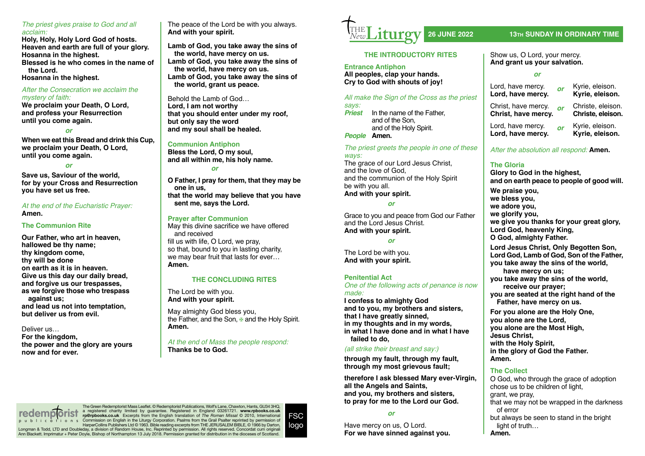#### *The priest gives praise to God and all acclaim:*

**Holy, Holy, Holy Lord God of hosts. Heaven and earth are full of your glory. Hosanna in the highest. Blessed is he who comes in the name of the Lord. Hosanna in the highest.**

*After the Consecration we acclaim the* 

# *mystery of faith:* **We proclaim your Death, O Lord,**

**and profess your Resurrection until you come again.**

*or*

**When we eat this Bread and drink this Cup, we proclaim your Death, O Lord, until you come again.**

#### *or*

**Save us, Saviour of the world, for by your Cross and Resurrection you have set us free.**

#### *At the end of the Eucharistic Prayer:*  **Amen.**

# **The Communion Rite**

**Our Father, who art in heaven, hallowed be thy name; thy kingdom come, thy will be done on earth as it is in heaven. Give us this day our daily bread, and forgive us our trespasses, as we forgive those who trespass against us;**

**and lead us not into temptation, but deliver us from evil.**

#### Deliver us…

**For the kingdom, the power and the glory are yours now and for ever.**

The peace of the Lord be with you always. **And with your spirit.**

**Lamb of God, you take away the sins of the world, have mercy on us. Lamb of God, you take away the sins of the world, have mercy on us. Lamb of God, you take away the sins of the world, grant us peace.**

Behold the Lamb of God… **Lord, I am not worthy that you should enter under my roof, but only say the word and my soul shall be healed.**

# **Communion Antiphon**

**Bless the Lord, O my soul, and all within me, his holy name.**  *or*

**O Father, I pray for them, that they may be one in us,**

**that the world may believe that you have sent me, says the Lord.** 

# **Prayer after Communion**

May this divine sacrifice we have offered and received fill us with life, O Lord, we pray, so that, bound to you in lasting charity, we may bear fruit that lasts for ever… **Amen.**

# **THE CONCLUDING RITES**

The Lord be with you. **And with your spirit.**

May almighty God bless you, the Father, and the Son, <sub>№</sub> and the Holy Spirit. **Amen.**

*At the end of Mass the people respond:* **Thanks be to God.**



# **26 JUNE 2022 13th SUNDAY IN ORDINARY TIME**

# **THE INTRODUCTORY RITES**

#### **Entrance Antiphon**

**All peoples, clap your hands. Cry to God with shouts of joy!** 

*All make the Sign of the Cross as the priest says:*

*Priest* In the name of the Father, and of the Son, and of the Holy Spirit.

#### *People* **Amen.**

*The priest greets the people in one of these ways:*

The grace of our Lord Jesus Christ, and the love of God, and the communion of the Holy Spirit be with you all. **And with your spirit.**

*or*

Grace to you and peace from God our Father and the Lord Jesus Christ. **And with your spirit.**

*or*

The Lord be with you. **And with your spirit.**

# **Penitential Act**

*One of the following acts of penance is now made:*

**I confess to almighty God and to you, my brothers and sisters, that I have greatly sinned, in my thoughts and in my words, in what I have done and in what I have failed to do,**

# *(all strike their breast and say:)*

**through my fault, through my fault, through my most grievous fault;**

**therefore I ask blessed Mary ever-Virgin, all the Angels and Saints, and you, my brothers and sisters, to pray for me to the Lord our God.**

#### *or*

Have mercy on us, O Lord. **For we have sinned against you.** Show us, O Lord, your mercy. **And grant us your salvation.**

*or*

| Lord, have mercy.<br>Lord, have mercy.     | <b>or</b> | Kyrie, eleison.<br>Kyrie, eleison.     |
|--------------------------------------------|-----------|----------------------------------------|
| Christ, have mercy.<br>Christ, have mercy. | or        | Christe, eleison.<br>Christe, eleison. |
| Lord, have mercy.<br>Lord, have mercy.     | or        | Kyrie, eleison.<br>Kyrie, eleison.     |

*After the absolution all respond:* **Amen.**

# **The Gloria**

**Glory to God in the highest, and on earth peace to people of good will. We praise you, we bless you, we adore you, we glorify you, we give you thanks for your great glory, Lord God, heavenly King, O God, almighty Father. Lord Jesus Christ, Only Begotten Son,**

**Lord God, Lamb of God, Son of the Father, you take away the sins of the world, have mercy on us;**

**you take away the sins of the world, receive our prayer;**

**you are seated at the right hand of the Father, have mercy on us.**

**For you alone are the Holy One, you alone are the Lord, you alone are the Most High, Jesus Christ, with the Holy Spirit, in the glory of God the Father. Amen.**

#### **The Collect**

O God, who through the grace of adoption chose us to be children of light, grant, we pray, that we may not be wrapped in the darkness of error but always be seen to stand in the bright light of truth… **Amen.**



The Green Redemptorist Mass Leaflet. © Redemptorist Publications, Wolf's Lane, Chawton, Hants, GU34 3HQ, The gristered charity limited by guarantee. Registered in England 03261721. www.rpbooks.co.uk<br>The prephotology and En Longman & Todd, LTD and Doubleday, a division of Random House, Inc. Reprinted by permission. All rights reserved. Concordat cum originali Ann Blackett. Imprimatur + Peter Doyle, Bishop of Northampton 13 July 2018. Permission granted for distribution in the dioceses of Scotland.

FSC logo